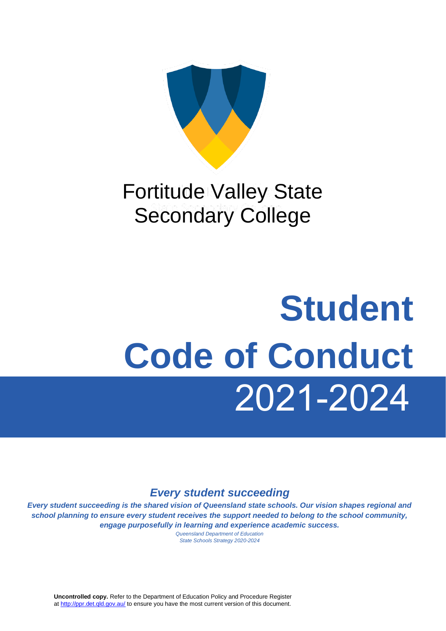

## Fortitude Valley State Secondary College

# 2021-2024  **Student Code of Conduct**

## *Every student succeeding*

*Every student succeeding is the shared vision of Queensland state schools. Our vision shapes regional and school planning to ensure every student receives the support needed to belong to the school community, engage purposefully in learning and experience academic success.*

*Queensland Department of Education State Schools Strategy 2020-2024*

**Uncontrolled copy.** Refer to the Department of Education Policy and Procedure Register at http://ppr.det.gld.gov.au/ to ensure you have the most current version of this document.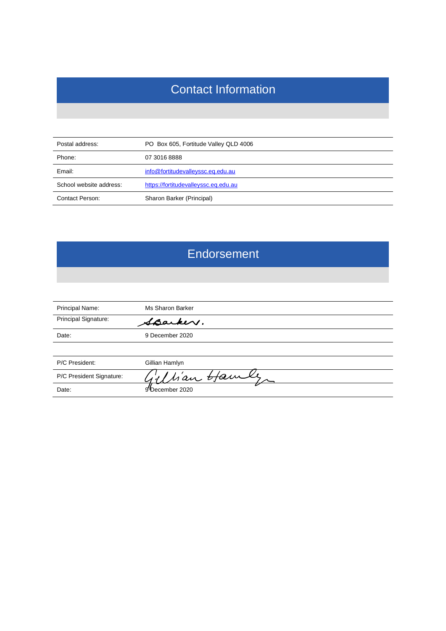## Contact Information

| Postal address:         | PO Box 605, Fortitude Valley QLD 4006 |  |
|-------------------------|---------------------------------------|--|
| Phone:                  | 07 3016 8888                          |  |
| Email:                  | info@fortitudevalleyssc.eq.edu.au     |  |
| School website address: | https://fortitudevalleyssc.eq.edu.au  |  |
| Contact Person:         | Sharon Barker (Principal)             |  |

## **Endorsement**

| Principal Name:          | Ms Sharon Barker |
|--------------------------|------------------|
| Principal Signature:     | Sparker.         |
| Date:                    | 9 December 2020  |
|                          |                  |
| P/C President:           | Gillian Hamlyn   |
| P/C President Signature: | Man Hamle        |
| Date:                    | 9December 2020   |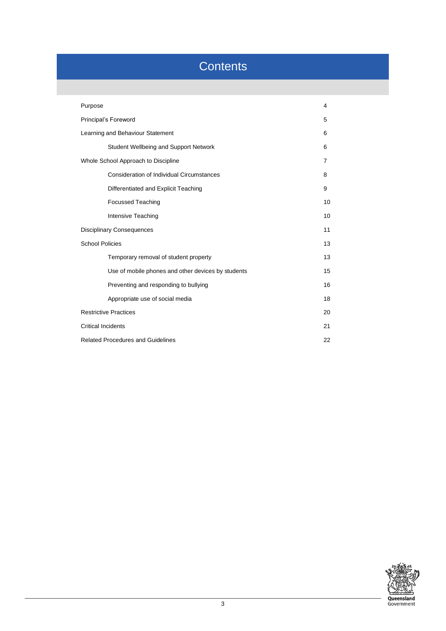## **Contents**

| Purpose                                            |    |  |
|----------------------------------------------------|----|--|
| Principal's Foreword                               |    |  |
| Learning and Behaviour Statement                   |    |  |
| Student Wellbeing and Support Network              | 6  |  |
| Whole School Approach to Discipline                | 7  |  |
| Consideration of Individual Circumstances          | 8  |  |
| Differentiated and Explicit Teaching               | 9  |  |
| <b>Focussed Teaching</b>                           | 10 |  |
| Intensive Teaching                                 | 10 |  |
| <b>Disciplinary Consequences</b>                   |    |  |
| <b>School Policies</b>                             | 13 |  |
| Temporary removal of student property              | 13 |  |
| Use of mobile phones and other devices by students | 15 |  |
| Preventing and responding to bullying              | 16 |  |
| Appropriate use of social media                    | 18 |  |
| <b>Restrictive Practices</b>                       |    |  |
| <b>Critical Incidents</b><br>21                    |    |  |
| <b>Related Procedures and Guidelines</b><br>22     |    |  |

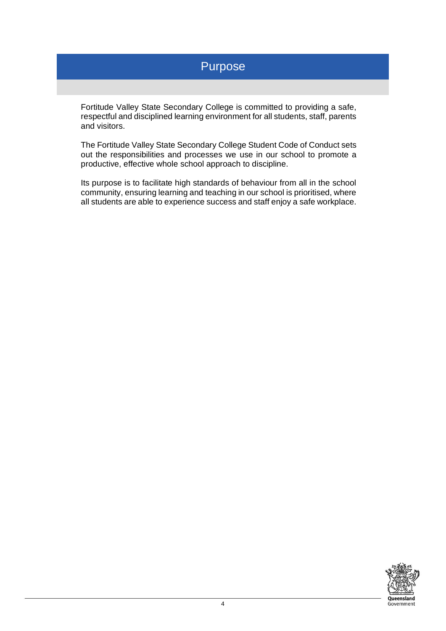## Purpose

Fortitude Valley State Secondary College is committed to providing a safe, respectful and disciplined learning environment for all students, staff, parents and visitors.

The Fortitude Valley State Secondary College Student Code of Conduct sets out the responsibilities and processes we use in our school to promote a productive, effective whole school approach to discipline.

Its purpose is to facilitate high standards of behaviour from all in the school community, ensuring learning and teaching in our school is prioritised, where all students are able to experience success and staff enjoy a safe workplace.

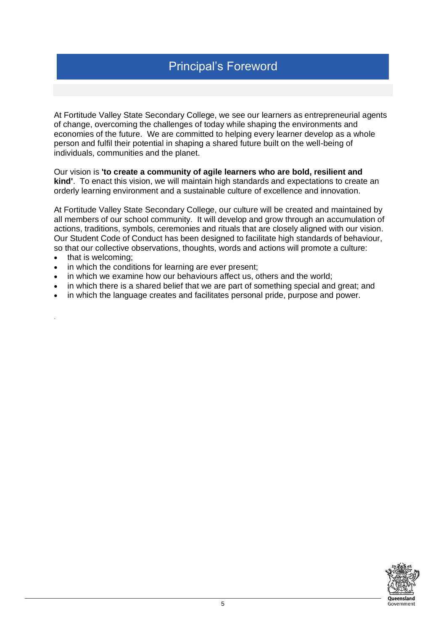At Fortitude Valley State Secondary College, we see our learners as entrepreneurial agents of change, overcoming the challenges of today while shaping the environments and economies of the future. We are committed to helping every learner develop as a whole person and fulfil their potential in shaping a shared future built on the well-being of individuals, communities and the planet.

Our vision is **'to create a community of agile learners who are bold, resilient and kind'**. To enact this vision, we will maintain high standards and expectations to create an orderly learning environment and a sustainable culture of excellence and innovation.

At Fortitude Valley State Secondary College, our culture will be created and maintained by all members of our school community. It will develop and grow through an accumulation of actions, traditions, symbols, ceremonies and rituals that are closely aligned with our vision. Our Student Code of Conduct has been designed to facilitate high standards of behaviour, so that our collective observations, thoughts, words and actions will promote a culture:

• that is welcoming;

.

- in which the conditions for learning are ever present;
- in which we examine how our behaviours affect us, others and the world;
- in which there is a shared belief that we are part of something special and great; and
- in which the language creates and facilitates personal pride, purpose and power.

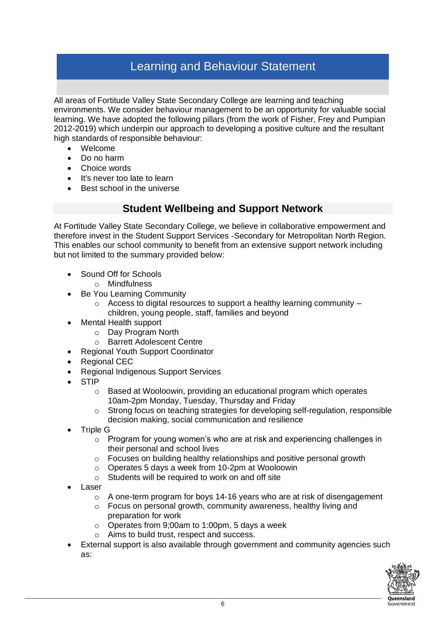## Learning and Behaviour Statement

All areas of Fortitude Valley State Secondary College are learning and teaching environments. We consider behaviour management to be an opportunity for valuable social learning. We have adopted the following pillars (from the work of Fisher, Frey and Pumpian 2012-2019) which underpin our approach to developing a positive culture and the resultant high standards of responsible behaviour:

- Welcome
- Do no harm
- Choice words
- It's never too late to learn
- Best school in the universe

#### **Student Wellbeing and Support Network**

At Fortitude Valley State Secondary College, we believe in collaborative empowerment and therefore invest in the Student Support Services -Secondary for Metropolitan North Region. This enables our school community to benefit from an extensive support network including but not limited to the summary provided below:

- Sound Off for Schools
	- o Mindfulness
- Be You Learning Community
	- $\circ$  Access to digital resources to support a healthy learning community children, young people, staff, families and beyond
- Mental Health support
	- o Day Program North
	- o Barrett Adolescent Centre
- Regional Youth Support Coordinator
- Regional CEC
- Regional Indigenous Support Services
- **STIP** 
	- $\circ$  Based at Wooloowin, providing an educational program which operates 10am-2pm Monday, Tuesday, Thursday and Friday
	- $\circ$  Strong focus on teaching strategies for developing self-regulation, responsible decision making, social communication and resilience
- Triple G
	- o Program for young women's who are at risk and experiencing challenges in their personal and school lives
	- o Focuses on building healthy relationships and positive personal growth
	- o Operates 5 days a week from 10-2pm at Wooloowin
	- o Students will be required to work on and off site
- Laser
	- $\circ$  A one-term program for boys 14-16 years who are at risk of disengagement
	- o Focus on personal growth, community awareness, healthy living and preparation for work
	- o Operates from 9;00am to 1:00pm, 5 days a week
	- o Aims to build trust, respect and success.
- External support is also available through government and community agencies such as:

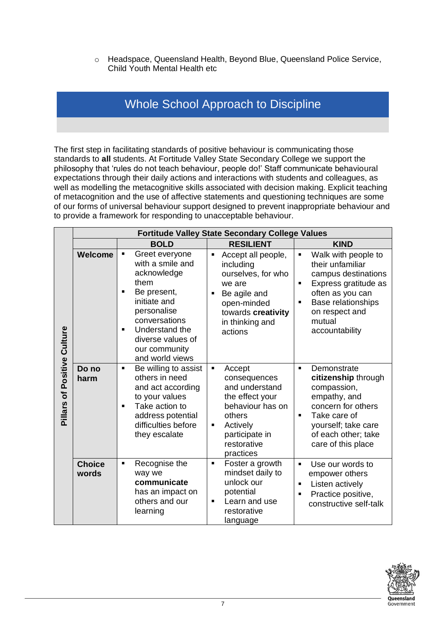o Headspace, Queensland Health, Beyond Blue, Queensland Police Service, Child Youth Mental Health etc

## Whole School Approach to Discipline

The first step in facilitating standards of positive behaviour is communicating those standards to **all** students. At Fortitude Valley State Secondary College we support the philosophy that 'rules do not teach behaviour, people do!' Staff communicate behavioural expectations through their daily actions and interactions with students and colleagues, as well as modelling the metacognitive skills associated with decision making. Explicit teaching of metacognition and the use of affective statements and questioning techniques are some of our forms of universal behaviour support designed to prevent inappropriate behaviour and to provide a framework for responding to unacceptable behaviour.

|                  |                        | <b>Fortitude Valley State Secondary College Values</b>                                                                                                                                                                                       |                                                                                                                                                                            |                                                                                                                                                                                                                 |  |
|------------------|------------------------|----------------------------------------------------------------------------------------------------------------------------------------------------------------------------------------------------------------------------------------------|----------------------------------------------------------------------------------------------------------------------------------------------------------------------------|-----------------------------------------------------------------------------------------------------------------------------------------------------------------------------------------------------------------|--|
|                  |                        | <b>BOLD</b>                                                                                                                                                                                                                                  | <b>RESILIENT</b>                                                                                                                                                           | <b>KIND</b>                                                                                                                                                                                                     |  |
| Positive Culture | <b>Welcome</b>         | Greet everyone<br>٠<br>with a smile and<br>acknowledge<br>them<br>Be present,<br>$\blacksquare$<br>initiate and<br>personalise<br>conversations<br>Understand the<br>$\blacksquare$<br>diverse values of<br>our community<br>and world views | Accept all people,<br>$\blacksquare$<br>including<br>ourselves, for who<br>we are<br>Be agile and<br>open-minded<br>towards creativity<br>in thinking and<br>actions       | Walk with people to<br>Ξ<br>their unfamiliar<br>campus destinations<br>Express gratitude as<br>$\blacksquare$<br>often as you can<br>Base relationships<br>٠<br>on respect and<br>mutual<br>accountability      |  |
| Pillars of       | Do no<br>harm          | Be willing to assist<br>٠<br>others in need<br>and act according<br>to your values<br>Take action to<br>$\blacksquare$<br>address potential<br>difficulties before<br>they escalate                                                          | Accept<br>٠<br>consequences<br>and understand<br>the effect your<br>behaviour has on<br>others<br>Actively<br>$\blacksquare$<br>participate in<br>restorative<br>practices | Demonstrate<br>$\blacksquare$<br>citizenship through<br>compassion,<br>empathy, and<br>concern for others<br>Take care of<br>$\blacksquare$<br>yourself; take care<br>of each other; take<br>care of this place |  |
|                  | <b>Choice</b><br>words | Recognise the<br>$\blacksquare$<br>way we<br>communicate<br>has an impact on<br>others and our<br>learning                                                                                                                                   | Foster a growth<br>$\blacksquare$<br>mindset daily to<br>unlock our<br>potential<br>Learn and use<br>$\blacksquare$<br>restorative<br>language                             | Use our words to<br>$\blacksquare$<br>empower others<br>Listen actively<br>$\blacksquare$<br>Practice positive,<br>constructive self-talk                                                                       |  |

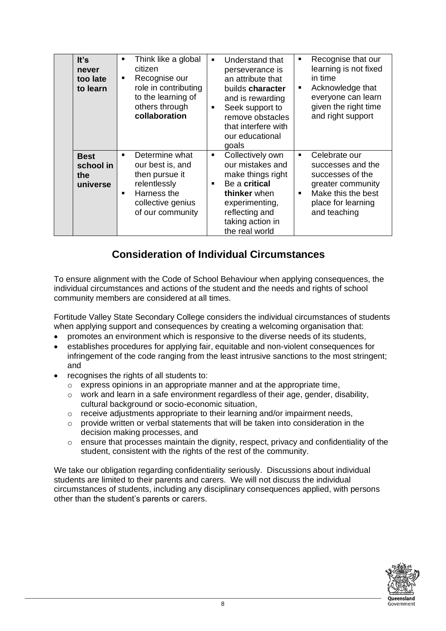| It's<br>never<br>too late<br>to learn       | Think like a global<br>٠<br>citizen<br>Recognise our<br>٠<br>role in contributing<br>to the learning of<br>others through<br>collaboration                       | Understand that<br>٠<br>perseverance is<br>in time<br>an attribute that<br>п<br>builds <b>character</b><br>and is rewarding<br>Seek support to<br>$\blacksquare$<br>remove obstacles<br>that interfere with<br>our educational<br>goals | Recognise that our<br>learning is not fixed<br>Acknowledge that<br>everyone can learn<br>given the right time<br>and right support      |
|---------------------------------------------|------------------------------------------------------------------------------------------------------------------------------------------------------------------|-----------------------------------------------------------------------------------------------------------------------------------------------------------------------------------------------------------------------------------------|-----------------------------------------------------------------------------------------------------------------------------------------|
| <b>Best</b><br>school in<br>the<br>universe | Determine what<br>$\blacksquare$<br>our best is, and<br>then pursue it<br>relentlessly<br>Harness the<br>$\blacksquare$<br>collective genius<br>of our community | Collectively own<br>$\blacksquare$<br>٠<br>our mistakes and<br>make things right<br>Be a critical<br>thinker when<br>$\blacksquare$<br>experimenting,<br>reflecting and<br>taking action in<br>the real world                           | Celebrate our<br>successes and the<br>successes of the<br>greater community<br>Make this the best<br>place for learning<br>and teaching |

## **Consideration of Individual Circumstances**

To ensure alignment with the Code of School Behaviour when applying consequences, the individual circumstances and actions of the student and the needs and rights of school community members are considered at all times.

Fortitude Valley State Secondary College considers the individual circumstances of students when applying support and consequences by creating a welcoming organisation that:

- promotes an environment which is responsive to the diverse needs of its students,
- establishes procedures for applying fair, equitable and non-violent consequences for infringement of the code ranging from the least intrusive sanctions to the most stringent; and
- recognises the rights of all students to:
	- o express opinions in an appropriate manner and at the appropriate time,
	- $\circ$  work and learn in a safe environment regardless of their age, gender, disability, cultural background or socio-economic situation,
	- o receive adjustments appropriate to their learning and/or impairment needs,
	- $\circ$  provide written or verbal statements that will be taken into consideration in the decision making processes, and
	- $\circ$  ensure that processes maintain the dignity, respect, privacy and confidentiality of the student, consistent with the rights of the rest of the community.

We take our obligation regarding confidentiality seriously. Discussions about individual students are limited to their parents and carers. We will not discuss the individual circumstances of students, including any disciplinary consequences applied, with persons other than the student's parents or carers.

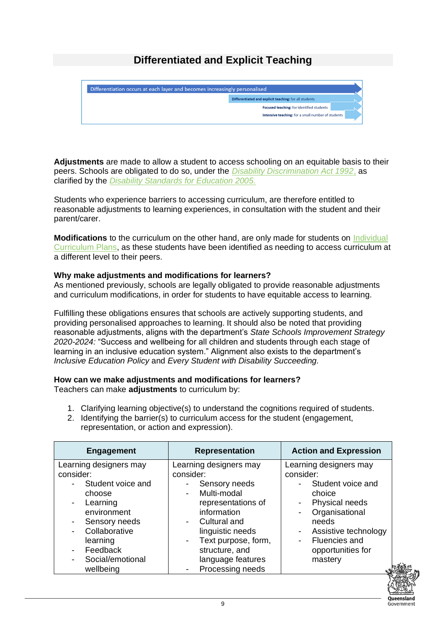## **Differentiated and Explicit Teaching**



**Adjustments** are made to allow a student to access schooling on an equitable basis to their peers. Schools are obligated to do so, under the *[Disability Discrimination Act 1992](https://www.legislation.gov.au/Details/C2018C00125)*, as clarified by the *[Disability Standards for Education 2005.](https://www.education.gov.au/disability-standards-education-2005)*

Students who experience barriers to accessing curriculum, are therefore entitled to reasonable adjustments to learning experiences, in consultation with the student and their parent/carer.

**Modifications** to the curriculum on the other hand, are only made for students on [Individual](https://education.qld.gov.au/curriculums/Documents/individual-curriculum-plan.pdf)  [Curriculum Plans,](https://education.qld.gov.au/curriculums/Documents/individual-curriculum-plan.pdf) as these students have been identified as needing to access curriculum at a different level to their peers.

#### **Why make adjustments and modifications for learners?**

As mentioned previously, schools are legally obligated to provide reasonable adjustments and curriculum modifications, in order for students to have equitable access to learning.

Fulfilling these obligations ensures that schools are actively supporting students, and providing personalised approaches to learning. It should also be noted that providing reasonable adjustments, aligns with the department's *State Schools Improvement Strategy 2020-2024:* "Success and wellbeing for all children and students through each stage of learning in an inclusive education system." Alignment also exists to the department's *Inclusive Education Policy* and *Every Student with Disability Succeeding.* 

#### **How can we make adjustments and modifications for learners?**

Teachers can make **adjustments** to curriculum by:

- 1. Clarifying learning objective(s) to understand the cognitions required of students.
- 2. Identifying the barrier(s) to curriculum access for the student (engagement, representation, or action and expression).

| <b>Engagement</b>                                                                                                                                                           | <b>Representation</b>                                                                                                                                                                                                                                      | <b>Action and Expression</b>                                                                                                                                                             |
|-----------------------------------------------------------------------------------------------------------------------------------------------------------------------------|------------------------------------------------------------------------------------------------------------------------------------------------------------------------------------------------------------------------------------------------------------|------------------------------------------------------------------------------------------------------------------------------------------------------------------------------------------|
| Learning designers may<br>consider:<br>Student voice and<br>choose<br>Learning<br>environment<br>Sensory needs<br>Collaborative<br>learning<br>Feedback<br>Social/emotional | Learning designers may<br>consider:<br>Sensory needs<br>Multi-modal<br>representations of<br>information<br>Cultural and<br>linguistic needs<br>Text purpose, form,<br>$\overline{\phantom{a}}$<br>structure, and<br>language features<br>Processing needs | Learning designers may<br>consider:<br>Student voice and<br>choice<br>Physical needs<br>Organisational<br>needs<br>Assistive technology<br>Fluencies and<br>opportunities for<br>mastery |
| wellbeing                                                                                                                                                                   |                                                                                                                                                                                                                                                            |                                                                                                                                                                                          |

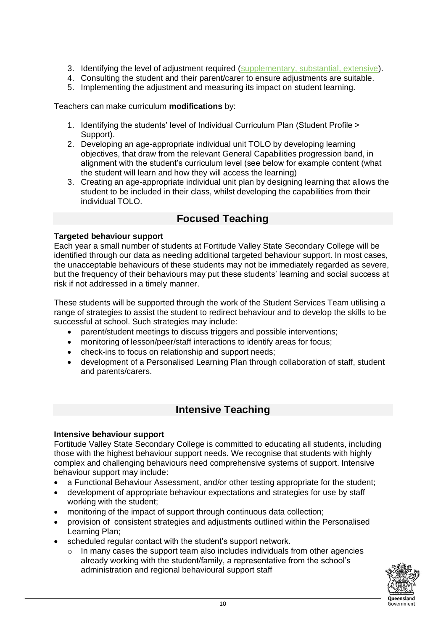- 3. Identifying the level of adjustment required [\(supplementary, substantial, extensive\)](https://www.nccd.edu.au/tools/levels-adjustment-viewer).
- 4. Consulting the student and their parent/carer to ensure adjustments are suitable.
- 5. Implementing the adjustment and measuring its impact on student learning.

Teachers can make curriculum **modifications** by:

- 1. Identifying the students' level of Individual Curriculum Plan (Student Profile > Support).
- 2. Developing an age-appropriate individual unit TOLO by developing learning objectives, that draw from the relevant General Capabilities progression band, in alignment with the student's curriculum level (see below for example content (what the student will learn and how they will access the learning)
- 3. Creating an age-appropriate individual unit plan by designing learning that allows the student to be included in their class, whilst developing the capabilities from their individual TOLO.

#### **Focused Teaching**

#### **Targeted behaviour support**

Each year a small number of students at Fortitude Valley State Secondary College will be identified through our data as needing additional targeted behaviour support. In most cases, the unacceptable behaviours of these students may not be immediately regarded as severe, but the frequency of their behaviours may put these students' learning and social success at risk if not addressed in a timely manner.

These students will be supported through the work of the Student Services Team utilising a range of strategies to assist the student to redirect behaviour and to develop the skills to be successful at school. Such strategies may include:

- parent/student meetings to discuss triggers and possible interventions;
- monitoring of lesson/peer/staff interactions to identify areas for focus;
- check-ins to focus on relationship and support needs:
- development of a Personalised Learning Plan through collaboration of staff, student and parents/carers.

#### **Intensive Teaching**

#### **Intensive behaviour support**

Fortitude Valley State Secondary College is committed to educating all students, including those with the highest behaviour support needs. We recognise that students with highly complex and challenging behaviours need comprehensive systems of support. Intensive behaviour support may include:

- a Functional Behaviour Assessment, and/or other testing appropriate for the student;
- development of appropriate behaviour expectations and strategies for use by staff working with the student;
- monitoring of the impact of support through continuous data collection;
- provision of consistent strategies and adjustments outlined within the Personalised Learning Plan;
- scheduled regular contact with the student's support network.
	- $\circ$  In many cases the support team also includes individuals from other agencies already working with the student/family, a representative from the school's administration and regional behavioural support staff

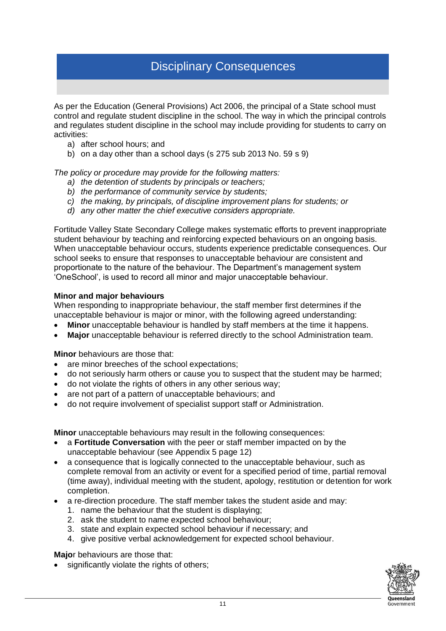## Disciplinary Consequences

As per the Education (General Provisions) Act 2006, the principal of a State school must control and regulate student discipline in the school. The way in which the principal controls and regulates student discipline in the school may include providing for students to carry on activities:

- a) after school hours; and
- b) on a day other than a school days (s 275 sub [2013 No.](https://www.legislation.qld.gov.au/link?version.series.id=6a8f8ed6-6486-42c5-ae04-8892e4da48fa&doc.id=act-2013-059&date=as.made&type=act) 59 s 9)

*The policy or procedure may provide for the following matters:*

- *a) the detention of students by principals or teachers;*
- *b) the performance of community service by students;*
- *c) the making, by principals, of discipline improvement plans for students; or*
- *d) any other matter the chief executive considers appropriate.*

Fortitude Valley State Secondary College makes systematic efforts to prevent inappropriate student behaviour by teaching and reinforcing expected behaviours on an ongoing basis. When unacceptable behaviour occurs, students experience predictable consequences. Our school seeks to ensure that responses to unacceptable behaviour are consistent and proportionate to the nature of the behaviour. The Department's management system 'OneSchool', is used to record all minor and major unacceptable behaviour.

#### **Minor and major behaviours**

When responding to inappropriate behaviour, the staff member first determines if the unacceptable behaviour is major or minor, with the following agreed understanding:

- **Minor** unacceptable behaviour is handled by staff members at the time it happens.
- **Major** unacceptable behaviour is referred directly to the school Administration team.

**Minor** behaviours are those that:

- are minor breeches of the school expectations;
- do not seriously harm others or cause you to suspect that the student may be harmed;
- do not violate the rights of others in any other serious way;
- are not part of a pattern of unacceptable behaviours; and
- do not require involvement of specialist support staff or Administration.

**Minor** unacceptable behaviours may result in the following consequences:

- a **Fortitude Conversation** with the peer or staff member impacted on by the unacceptable behaviour (see Appendix 5 page 12)
- a consequence that is logically connected to the unacceptable behaviour, such as complete removal from an activity or event for a specified period of time, partial removal (time away), individual meeting with the student, apology, restitution or detention for work completion.
- a re-direction procedure. The staff member takes the student aside and may:
	- 1. name the behaviour that the student is displaying;
	- 2. ask the student to name expected school behaviour;
	- 3. state and explain expected school behaviour if necessary; and
	- 4. give positive verbal acknowledgement for expected school behaviour.

**Majo**r behaviours are those that:

significantly violate the rights of others;

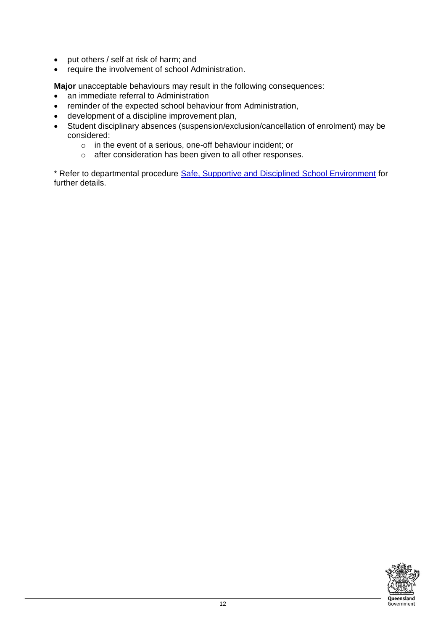- put others / self at risk of harm; and
- require the involvement of school Administration.

**Major** unacceptable behaviours may result in the following consequences:

- an immediate referral to Administration
- reminder of the expected school behaviour from Administration,
- development of a discipline improvement plan,
- Student disciplinary absences (suspension/exclusion/cancellation of enrolment) may be considered:
	- o in the event of a serious, one-off behaviour incident; or
	- o after consideration has been given to all other responses.

\* Refer to departmental procedure [Safe, Supportive and Disciplined School Environment](http://behaviour.education.qld.gov.au/SiteCollectionDocuments/disciplinary-decisions/statement-of-expectations.pdf) for further details.

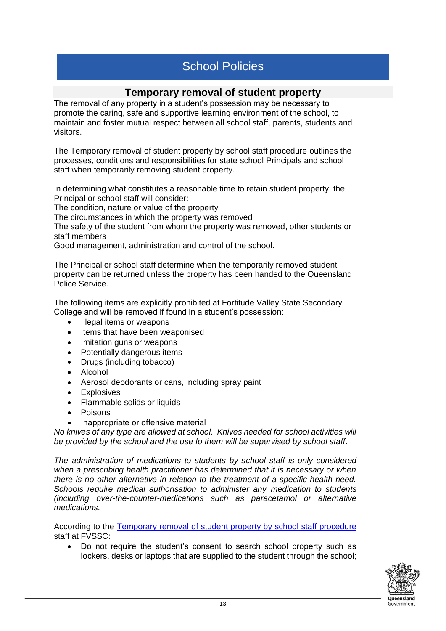## School Policies

#### **Temporary removal of student property**

The removal of any property in a student's possession may be necessary to promote the caring, safe and supportive learning environment of the school, to maintain and foster mutual respect between all school staff, parents, students and visitors.

The [Temporary removal of student property by school staff procedure](http://ppr.det.qld.gov.au/education/management/Pages/Temporary-Removal-of-Student-Property-by-School-Staff.aspx) outlines the processes, conditions and responsibilities for state school Principals and school staff when temporarily removing student property.

In determining what constitutes a reasonable time to retain student property, the Principal or school staff will consider:

The condition, nature or value of the property

The circumstances in which the property was removed

The safety of the student from whom the property was removed, other students or staff members

Good management, administration and control of the school.

The Principal or school staff determine when the temporarily removed student property can be returned unless the property has been handed to the Queensland Police Service.

The following items are explicitly prohibited at Fortitude Valley State Secondary College and will be removed if found in a student's possession:

- Illegal items or weapons
- Items that have been weaponised
- Imitation guns or weapons
- Potentially dangerous items
- Drugs (including tobacco)
- Alcohol
- Aerosol deodorants or cans, including spray paint
- Explosives
- Flammable solids or liquids
- Poisons
- Inappropriate or offensive material

*No knives of any type are allowed at school. Knives needed for school activities will be provided by the school and the use fo them will be supervised by school staff.*

*The administration of medications to students by school staff is only considered when a prescribing health practitioner has determined that it is necessary or when there is no other alternative in relation to the treatment of a specific health need. Schools require medical authorisation to administer any medication to students (including over-the-counter-medications such as paracetamol or alternative medications.* 

According to the [Temporary removal of student property by school staff procedure](https://ppr.qed.qld.gov.au/education/management/Procedure%20Attachments/Temporary%20Removal%20of%20Student%20Property%20by%20School%20Staff/temporary-removal-of-student-property-by-school-staff.pdf) staff at FVSSC:

• Do not require the student's consent to search school property such as lockers, desks or laptops that are supplied to the student through the school;

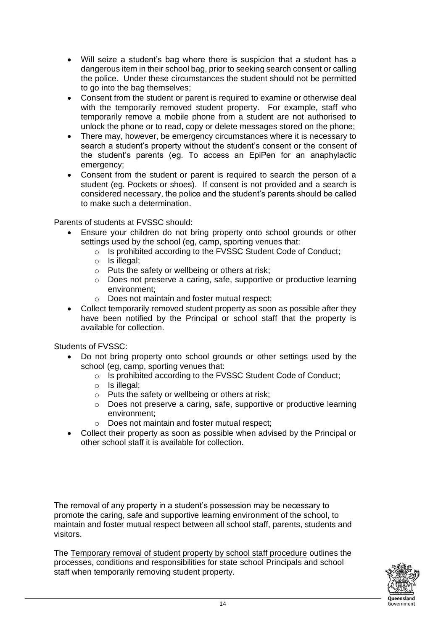- Will seize a student's bag where there is suspicion that a student has a dangerous item in their school bag, prior to seeking search consent or calling the police. Under these circumstances the student should not be permitted to go into the bag themselves;
- Consent from the student or parent is required to examine or otherwise deal with the temporarily removed student property. For example, staff who temporarily remove a mobile phone from a student are not authorised to unlock the phone or to read, copy or delete messages stored on the phone;
- There may, however, be emergency circumstances where it is necessary to search a student's property without the student's consent or the consent of the student's parents (eg. To access an EpiPen for an anaphylactic emergency;
- Consent from the student or parent is required to search the person of a student (eg. Pockets or shoes). If consent is not provided and a search is considered necessary, the police and the student's parents should be called to make such a determination.

Parents of students at FVSSC should:

- Ensure your children do not bring property onto school grounds or other settings used by the school (eg, camp, sporting venues that:
	- o Is prohibited according to the FVSSC Student Code of Conduct;
	- $\circ$  Is illegal;
	- o Puts the safety or wellbeing or others at risk;
	- o Does not preserve a caring, safe, supportive or productive learning environment;
	- o Does not maintain and foster mutual respect;
- Collect temporarily removed student property as soon as possible after they have been notified by the Principal or school staff that the property is available for collection.

Students of FVSSC:

- Do not bring property onto school grounds or other settings used by the school (eg, camp, sporting venues that:
	- o Is prohibited according to the FVSSC Student Code of Conduct;
	- o Is illegal;
	- o Puts the safety or wellbeing or others at risk;
	- o Does not preserve a caring, safe, supportive or productive learning environment;
	- o Does not maintain and foster mutual respect;
- Collect their property as soon as possible when advised by the Principal or other school staff it is available for collection.

The removal of any property in a student's possession may be necessary to promote the caring, safe and supportive learning environment of the school, to maintain and foster mutual respect between all school staff, parents, students and visitors.

The [Temporary removal of student property by school staff procedure](http://ppr.det.qld.gov.au/education/management/Pages/Temporary-Removal-of-Student-Property-by-School-Staff.aspx) outlines the processes, conditions and responsibilities for state school Principals and school staff when temporarily removing student property.

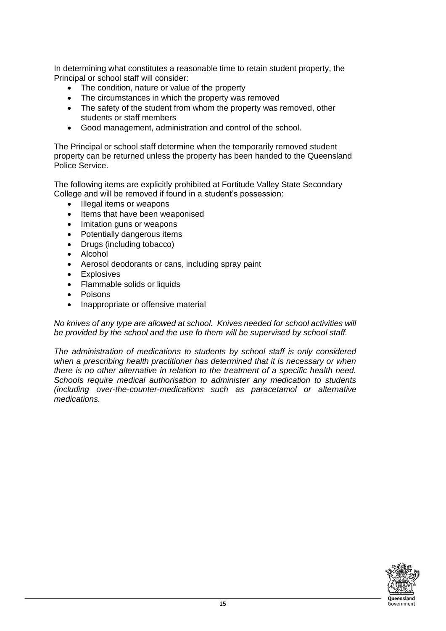In determining what constitutes a reasonable time to retain student property, the Principal or school staff will consider:

- The condition, nature or value of the property
- The circumstances in which the property was removed
- The safety of the student from whom the property was removed, other students or staff members
- Good management, administration and control of the school.

The Principal or school staff determine when the temporarily removed student property can be returned unless the property has been handed to the Queensland Police Service.

The following items are explicitly prohibited at Fortitude Valley State Secondary College and will be removed if found in a student's possession:

- Illegal items or weapons
- Items that have been weaponised
- Imitation guns or weapons
- Potentially dangerous items
- Drugs (including tobacco)
- Alcohol
- Aerosol deodorants or cans, including spray paint
- Explosives
- Flammable solids or liquids
- Poisons
- Inappropriate or offensive material

*No knives of any type are allowed at school. Knives needed for school activities will be provided by the school and the use fo them will be supervised by school staff.*

*The administration of medications to students by school staff is only considered when a prescribing health practitioner has determined that it is necessary or when there is no other alternative in relation to the treatment of a specific health need. Schools require medical authorisation to administer any medication to students (including over-the-counter-medications such as paracetamol or alternative medications.* 

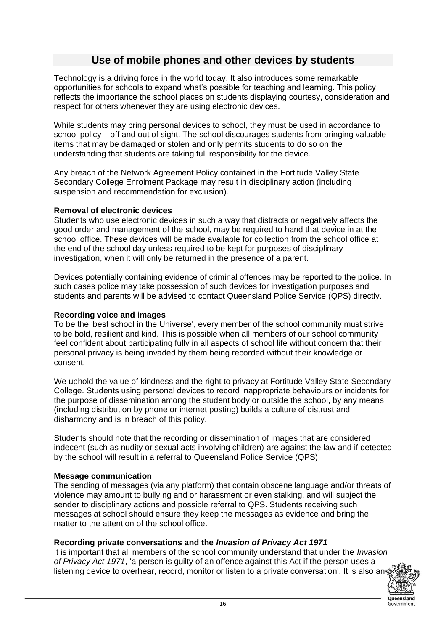### **Use of mobile phones and other devices by students**

Technology is a driving force in the world today. It also introduces some remarkable opportunities for schools to expand what's possible for teaching and learning. This policy reflects the importance the school places on students displaying courtesy, consideration and respect for others whenever they are using electronic devices.

While students may bring personal devices to school, they must be used in accordance to school policy – off and out of sight. The school discourages students from bringing valuable items that may be damaged or stolen and only permits students to do so on the understanding that students are taking full responsibility for the device.

Any breach of the Network Agreement Policy contained in the Fortitude Valley State Secondary College Enrolment Package may result in disciplinary action (including suspension and recommendation for exclusion).

#### **Removal of electronic devices**

Students who use electronic devices in such a way that distracts or negatively affects the good order and management of the school, may be required to hand that device in at the school office. These devices will be made available for collection from the school office at the end of the school day unless required to be kept for purposes of disciplinary investigation, when it will only be returned in the presence of a parent.

Devices potentially containing evidence of criminal offences may be reported to the police. In such cases police may take possession of such devices for investigation purposes and students and parents will be advised to contact Queensland Police Service (QPS) directly.

#### **Recording voice and images**

To be the 'best school in the Universe', every member of the school community must strive to be bold, resilient and kind. This is possible when all members of our school community feel confident about participating fully in all aspects of school life without concern that their personal privacy is being invaded by them being recorded without their knowledge or consent.

We uphold the value of kindness and the right to privacy at Fortitude Valley State Secondary College. Students using personal devices to record inappropriate behaviours or incidents for the purpose of dissemination among the student body or outside the school, by any means (including distribution by phone or internet posting) builds a culture of distrust and disharmony and is in breach of this policy.

Students should note that the recording or dissemination of images that are considered indecent (such as nudity or sexual acts involving children) are against the law and if detected by the school will result in a referral to Queensland Police Service (QPS).

#### **Message communication**

The sending of messages (via any platform) that contain obscene language and/or threats of violence may amount to bullying and or harassment or even stalking, and will subject the sender to disciplinary actions and possible referral to QPS. Students receiving such messages at school should ensure they keep the messages as evidence and bring the matter to the attention of the school office.

#### **Recording private conversations and the** *Invasion of Privacy Act 1971*

It is important that all members of the school community understand that under the *Invasion of Privacy Act 1971*, 'a person is guilty of an offence against this Act if the person uses a listening device to overhear, record, monitor or listen to a private conversation'. It is also an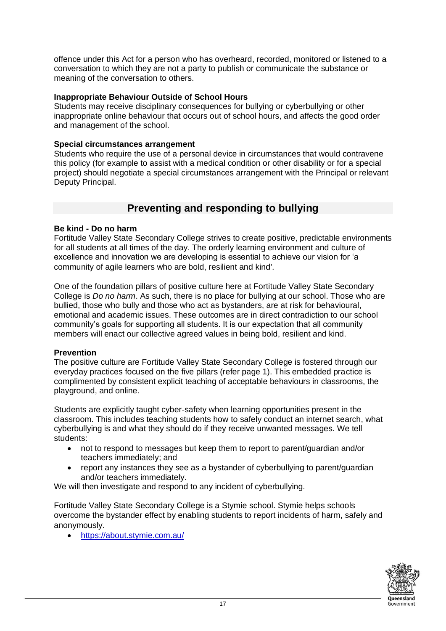offence under this Act for a person who has overheard, recorded, monitored or listened to a conversation to which they are not a party to publish or communicate the substance or meaning of the conversation to others.

#### **Inappropriate Behaviour Outside of School Hours**

Students may receive disciplinary consequences for bullying or cyberbullying or other inappropriate online behaviour that occurs out of school hours, and affects the good order and management of the school.

#### **Special circumstances arrangement**

Students who require the use of a personal device in circumstances that would contravene this policy (for example to assist with a medical condition or other disability or for a special project) should negotiate a special circumstances arrangement with the Principal or relevant Deputy Principal.

#### **Preventing and responding to bullying**

#### **Be kind - Do no harm**

Fortitude Valley State Secondary College strives to create positive, predictable environments for all students at all times of the day. The orderly learning environment and culture of excellence and innovation we are developing is essential to achieve our vision for 'a community of agile learners who are bold, resilient and kind'.

One of the foundation pillars of positive culture here at Fortitude Valley State Secondary College is *Do no harm*. As such, there is no place for bullying at our school. Those who are bullied, those who bully and those who act as bystanders, are at risk for behavioural, emotional and academic issues. These outcomes are in direct contradiction to our school community's goals for supporting all students. It is our expectation that all community members will enact our collective agreed values in being bold, resilient and kind.

#### **Prevention**

The positive culture are Fortitude Valley State Secondary College is fostered through our everyday practices focused on the five pillars (refer page 1). This embedded practice is complimented by consistent explicit teaching of acceptable behaviours in classrooms, the playground, and online.

Students are explicitly taught cyber-safety when learning opportunities present in the classroom. This includes teaching students how to safely conduct an internet search, what cyberbullying is and what they should do if they receive unwanted messages. We tell students:

- not to respond to messages but keep them to report to parent/guardian and/or teachers immediately; and
- report any instances they see as a bystander of cyberbullying to parent/guardian and/or teachers immediately.

We will then investigate and respond to any incident of cyberbullying.

Fortitude Valley State Secondary College is a Stymie school. Stymie helps schools overcome the bystander effect by enabling students to report incidents of harm, safely and anonymously.

• <https://about.stymie.com.au/>

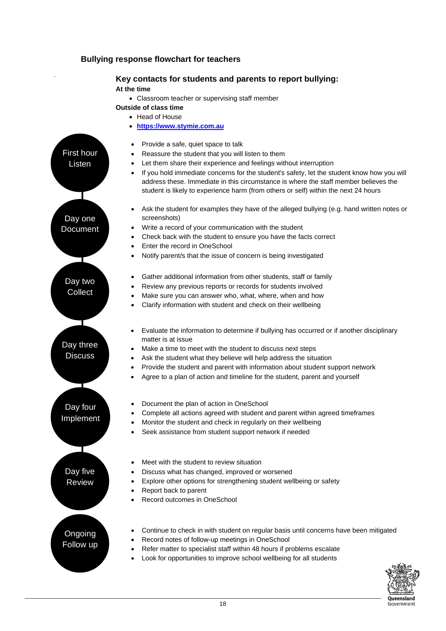#### **Bullying response flowchart for teachers**

#### **Key contacts for students and parents to report bullying:**

#### **At the time**

.

First hour Listen

Day one Document • Classroom teacher or supervising staff member

#### **Outside of class time**

- Head of House
- **[https://www.stymie.com.au](https://www.stymie.com.au/)**
- Provide a safe, quiet space to talk
- Reassure the student that you will listen to them
- Let them share their experience and feelings without interruption
- If you hold immediate concerns for the student's safety, let the student know how you will address these. Immediate in this circumstance is where the staff member believes the student is likely to experience harm (from others or self) within the next 24 hours
- Ask the student for examples they have of the alleged bullying (e.g. hand written notes or screenshots)
- Write a record of your communication with the student
- Check back with the student to ensure you have the facts correct
- Enter the record in OneSchool
	- Notify parent/s that the issue of concern is being investigated
- Gather additional information from other students, staff or family
	- Review any previous reports or records for students involved
- Make sure you can answer who, what, where, when and how
- Clarify information with student and check on their wellbeing
- Evaluate the information to determine if bullying has occurred or if another disciplinary matter is at issue
- Make a time to meet with the student to discuss next steps
- Ask the student what they believe will help address the situation
- Provide the student and parent with information about student support network
- Agree to a plan of action and timeline for the student, parent and yourself
- Document the plan of action in OneSchool
- Complete all actions agreed with student and parent within agreed timeframes
- Monitor the student and check in regularly on their wellbeing
- Seek assistance from student support network if needed

Day five Review

Day three **Discuss** 

Day four Implement

Day two **Collect** 

- Meet with the student to review situation
- Discuss what has changed, improved or worsened
- Explore other options for strengthening student wellbeing or safety
- Report back to parent
- Record outcomes in OneSchool

Ongoing Follow up

- Continue to check in with student on regular basis until concerns have been mitigated
- Record notes of follow-up meetings in OneSchool
- Refer matter to specialist staff within 48 hours if problems escalate
	- Look for opportunities to improve school wellbeing for all students

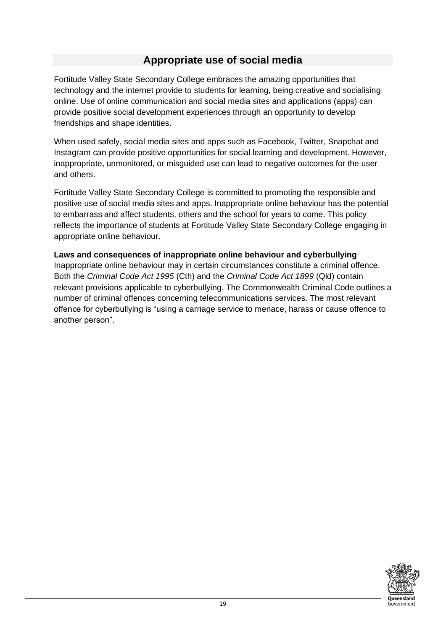## **Appropriate use of social media**

Fortitude Valley State Secondary College embraces the amazing opportunities that technology and the internet provide to students for learning, being creative and socialising online. Use of online communication and social media sites and applications (apps) can provide positive social development experiences through an opportunity to develop friendships and shape identities.

When used safely, social media sites and apps such as Facebook, Twitter, Snapchat and Instagram can provide positive opportunities for social learning and development. However, inappropriate, unmonitored, or misguided use can lead to negative outcomes for the user and others.

Fortitude Valley State Secondary College is committed to promoting the responsible and positive use of social media sites and apps. Inappropriate online behaviour has the potential to embarrass and affect students, others and the school for years to come. This policy reflects the importance of students at Fortitude Valley State Secondary College engaging in appropriate online behaviour.

#### **Laws and consequences of inappropriate online behaviour and cyberbullying**

Inappropriate online behaviour may in certain circumstances constitute a criminal offence. Both the *Criminal Code Act 1995* (Cth) and the *Criminal Code Act 1899* (Qld) contain relevant provisions applicable to cyberbullying. The Commonwealth Criminal Code outlines a number of criminal offences concerning telecommunications services. The most relevant offence for cyberbullying is "using a carriage service to menace, harass or cause offence to another person".

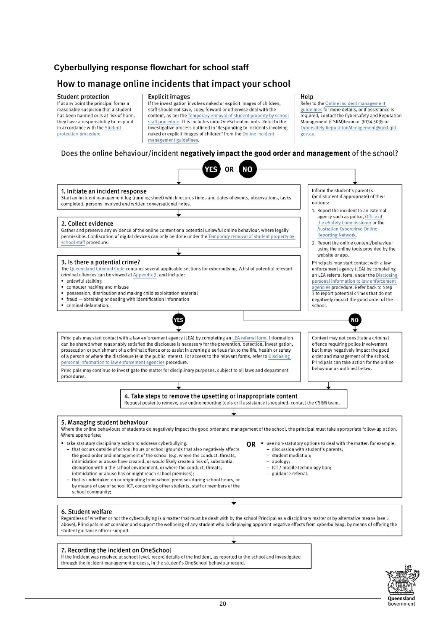#### **Cyberbullying response flowchart for school staff**

#### How to manage online incidents that impact your school

#### **Student protection**

If at any point the principal forms a reasonable suspicion that a student has been harmed or is at risk of harm, they have a responsibility to respond in accordance with the Student protection procedure.

#### **Explicit images**

If the investigation involves naked or explicit images of children, staff should not save, copy, forward or otherwise deal with the content, as per the Temporary removal of student property by school staff procedure. This includes onto OneSchool records. Refer to the investigative process outlined in 'Responding to incidents involving naked or explicit images of children' from the Online Incident management guidelines.

#### Does the online behaviour/incident negatively impact the good order and management of the school?

Help

gov.au.

Refer to the Online incident management

guidelines for more details, or if assistance is

Management (CSRM)team on 3034 5035 or

required, contact the Cybersafety and Reputation

Cybersafety.ReputationManagement@qed.qld.

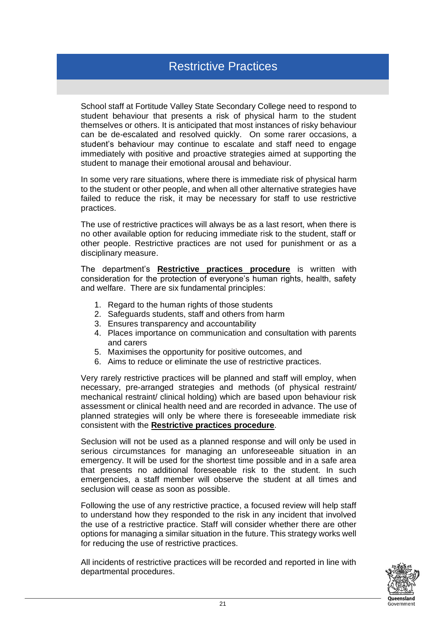## Restrictive Practices

School staff at Fortitude Valley State Secondary College need to respond to student behaviour that presents a risk of physical harm to the student themselves or others. It is anticipated that most instances of risky behaviour can be de-escalated and resolved quickly. On some rarer occasions, a student's behaviour may continue to escalate and staff need to engage immediately with positive and proactive strategies aimed at supporting the student to manage their emotional arousal and behaviour.

In some very rare situations, where there is immediate risk of physical harm to the student or other people, and when all other alternative strategies have failed to reduce the risk, it may be necessary for staff to use restrictive practices.

The use of restrictive practices will always be as a last resort, when there is no other available option for reducing immediate risk to the student, staff or other people. Restrictive practices are not used for punishment or as a disciplinary measure.

The department's **Restrictive practices procedure** is written with consideration for the protection of everyone's human rights, health, safety and welfare. There are six fundamental principles:

- 1. Regard to the human rights of those students
- 2. Safeguards students, staff and others from harm
- 3. Ensures transparency and accountability
- 4. Places importance on communication and consultation with parents and carers
- 5. Maximises the opportunity for positive outcomes, and
- 6. Aims to reduce or eliminate the use of restrictive practices.

Very rarely restrictive practices will be planned and staff will employ, when necessary, pre-arranged strategies and methods (of physical restraint/ mechanical restraint/ clinical holding) which are based upon behaviour risk assessment or clinical health need and are recorded in advance. The use of planned strategies will only be where there is foreseeable immediate risk consistent with the **Restrictive practices procedure**.

Seclusion will not be used as a planned response and will only be used in serious circumstances for managing an unforeseeable situation in an emergency. It will be used for the shortest time possible and in a safe area that presents no additional foreseeable risk to the student. In such emergencies, a staff member will observe the student at all times and seclusion will cease as soon as possible.

Following the use of any restrictive practice, a focused review will help staff to understand how they responded to the risk in any incident that involved the use of a restrictive practice. Staff will consider whether there are other options for managing a similar situation in the future. This strategy works well for reducing the use of restrictive practices.

All incidents of restrictive practices will be recorded and reported in line with departmental procedures.

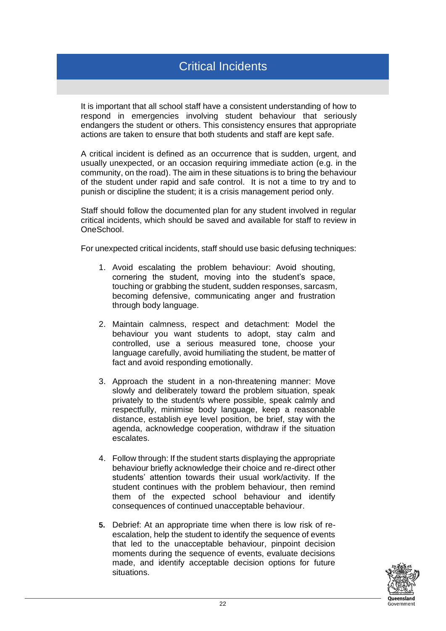## Critical Incidents

It is important that all school staff have a consistent understanding of how to respond in emergencies involving student behaviour that seriously endangers the student or others. This consistency ensures that appropriate actions are taken to ensure that both students and staff are kept safe.

A critical incident is defined as an occurrence that is sudden, urgent, and usually unexpected, or an occasion requiring immediate action (e.g. in the community, on the road). The aim in these situations is to bring the behaviour of the student under rapid and safe control. It is not a time to try and to punish or discipline the student; it is a crisis management period only.

Staff should follow the documented plan for any student involved in regular critical incidents, which should be saved and available for staff to review in OneSchool.

For unexpected critical incidents, staff should use basic defusing techniques:

- 1. Avoid escalating the problem behaviour: Avoid shouting, cornering the student, moving into the student's space, touching or grabbing the student, sudden responses, sarcasm, becoming defensive, communicating anger and frustration through body language.
- 2. Maintain calmness, respect and detachment: Model the behaviour you want students to adopt, stay calm and controlled, use a serious measured tone, choose your language carefully, avoid humiliating the student, be matter of fact and avoid responding emotionally.
- 3. Approach the student in a non-threatening manner: Move slowly and deliberately toward the problem situation, speak privately to the student/s where possible, speak calmly and respectfully, minimise body language, keep a reasonable distance, establish eye level position, be brief, stay with the agenda, acknowledge cooperation, withdraw if the situation escalates.
- 4. Follow through: If the student starts displaying the appropriate behaviour briefly acknowledge their choice and re-direct other students' attention towards their usual work/activity. If the student continues with the problem behaviour, then remind them of the expected school behaviour and identify consequences of continued unacceptable behaviour.
- **5.** Debrief: At an appropriate time when there is low risk of reescalation, help the student to identify the sequence of events that led to the unacceptable behaviour, pinpoint decision moments during the sequence of events, evaluate decisions made, and identify acceptable decision options for future situations.